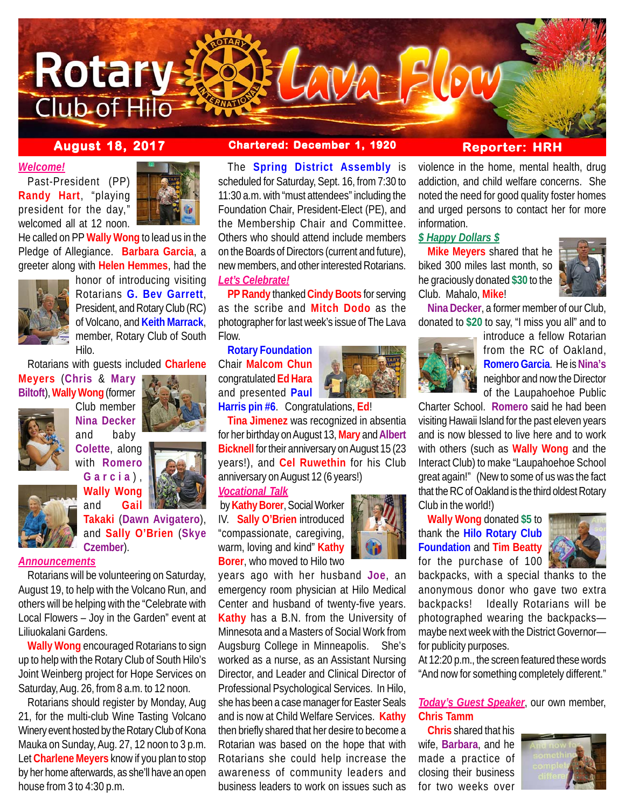

### *Welcome!*

Past-President (PP) **Randy Hart**, "playing president for the day," welcomed all at 12 noon.



He called on PP **Wally Wong** to lead us in the Pledge of Allegiance. **Barbara Garcia**, a greeter along with **Helen Hemmes**, had the



honor of introducing visiting Rotarians **G. Bev Garrett**, President, and Rotary Club (RC) of Volcano, and **Keith Marrack**, member, Rotary Club of South Hilo.

Rotarians with guests included **Charlene**

**Meyers** (**Chris** & **Mary Biltoft**), **Wally Wong** (former



Club member **Nina Decker** and baby **Colette**, along with **Romero**

**Garcia** ) , **Wally Wong**



### *Announcements*

Rotarians will be volunteering on Saturday, August 19, to help with the Volcano Run, and others will be helping with the "Celebrate with Local Flowers – Joy in the Garden" event at Liliuokalani Gardens.

**Wally Wong** encouraged Rotarians to sign up to help with the Rotary Club of South Hilo's Joint Weinberg project for Hope Services on Saturday, Aug. 26, from 8 a.m. to 12 noon.

Rotarians should register by Monday, Aug 21, for the multi-club Wine Tasting Volcano Winery event hosted by the Rotary Club of Kona Mauka on Sunday, Aug. 27, 12 noon to 3 p.m. Let **Charlene Meyers** know if you plan to stop by her home afterwards, as she'll have an open house from 3 to 4:30 p.m.

# **August 18, 2017 Chartered: December 1, 1920 Reporter: HRH**

The **Spring District Assembly** is scheduled for Saturday, Sept. 16, from 7:30 to 11:30 a.m. with "must attendees" including the Foundation Chair, President-Elect (PE), and the Membership Chair and Committee. Others who should attend include members on the Boards of Directors (current and future), new members, and other interested Rotarians. *Let's Celebrate!*

**PP Randy** thanked **Cindy Boots** for serving as the scribe and **Mitch Dodo** as the photographer for last week's issue of The Lava Flow.

**Rotary Foundation** Chair **Malcom Chun** congratulated **Ed Hara** and presented **Paul**



**Harris pin #6**. Congratulations, **Ed**!

**Tina Jimenez** was recognized in absentia for her birthday on August 13, **Mary** and **Albert Bicknell** for their anniversary on August 15 (23 years!), and **Cel Ruwethin** for his Club anniversary on August 12 (6 years!)

*Vocational Talk*

 by **Kathy Borer**, Social Worker IV. **Sally O'Brien** introduced "compassionate, caregiving, warm, loving and kind" **Kathy Borer**, who moved to Hilo two

years ago with her husband **Joe**, an emergency room physician at Hilo Medical Center and husband of twenty-five years. **Kathy** has a B.N. from the University of Minnesota and a Masters of Social Work from Augsburg College in Minneapolis. She's worked as a nurse, as an Assistant Nursing Director, and Leader and Clinical Director of Professional Psychological Services. In Hilo, she has been a case manager for Easter Seals and is now at Child Welfare Services. **Kathy** then briefly shared that her desire to become a Rotarian was based on the hope that with Rotarians she could help increase the awareness of community leaders and business leaders to work on issues such as

violence in the home, mental health, drug addiction, and child welfare concerns. She noted the need for good quality foster homes and urged persons to contact her for more information.

## *\$ Happy Dollars \$*

**Mike Meyers** shared that he biked 300 miles last month, so he graciously donated **\$30** to the Club. Mahalo, **Mike**!



**Nina Decker**, a former member of our Club, donated to **\$20** to say, "I miss you all" and to



introduce a fellow Rotarian from the RC of Oakland, **Romero Garcia**. He is **Nina's** neighbor and now the Director of the Laupahoehoe Public

Charter School. **Romero** said he had been visiting Hawaii Island for the past eleven years and is now blessed to live here and to work with others (such as **Wally Wong** and the Interact Club) to make "Laupahoehoe School great again!" (New to some of us was the fact that the RC of Oakland is the third oldest Rotary Club in the world!)

**Wally Wong** donated **\$5** to thank the **Hilo Rotary Club Foundation** and **Tim Beatty** for the purchase of 100  $\parallel$ 



backpacks, with a special thanks to the anonymous donor who gave two extra backpacks! Ideally Rotarians will be photographed wearing the backpacks maybe next week with the District Governor for publicity purposes.

At 12:20 p.m., the screen featured these words "And now for something completely different."

## *Today's Guest Speaker*, our own member, **Chris Tamm**

**Chris** shared that his wife, **Barbara**, and he made a practice of closing their business for two weeks over